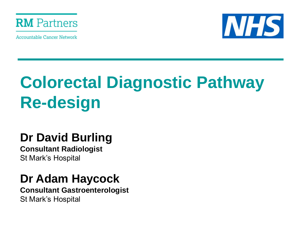

**Accountable Cancer Network** 



# **Colorectal Diagnostic Pathway Re-design**

## **Dr David Burling**

**Consultant Radiologist**  St Mark's Hospital

## **Dr Adam Haycock**

**Consultant Gastroenterologist**  St Mark's Hospital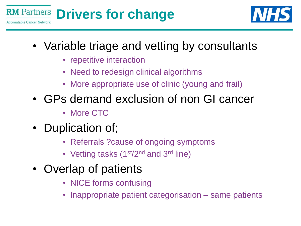



- Variable triage and vetting by consultants
	- repetitive interaction
	- Need to redesign clinical algorithms
	- More appropriate use of clinic (young and frail)
- GPs demand exclusion of non GI cancer
	- More CTC
- Duplication of;
	- Referrals ?cause of ongoing symptoms
	- Vetting tasks (1<sup>st</sup>/2<sup>nd</sup> and 3<sup>rd</sup> line)
- Overlap of patients
	- NICE forms confusing
	- Inappropriate patient categorisation same patients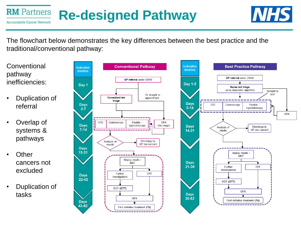#### **RM** Partners **Re-designed Pathway Accountable Cancer Network**



The flowchart below demonstrates the key differences between the best practice and the traditional/conventional pathway:

**Conventional** pathway inefficiencies:

- Duplication of referral
- Overlap of systems & pathways
- **Other** cancers not excluded
- Duplication of tasks



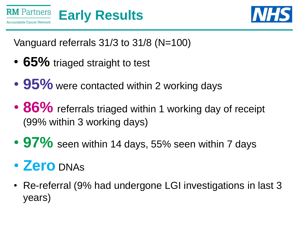



Vanguard referrals 31/3 to 31/8 (N=100)

- **65%** triaged straight to test
- 95% were contacted within 2 working days
- 86% referrals triaged within 1 working day of receipt (99% within 3 working days)
- 97% seen within 14 days, 55% seen within 7 days
- **Zero** DNAs
- Re-referral (9% had undergone LGI investigations in last 3 years)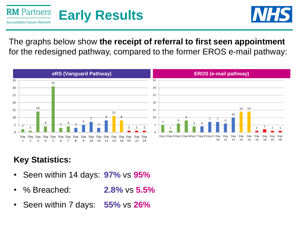



The graphs below show **the receipt of referral to first seen appointment**  for the redesigned pathway, compared to the former EROS e-mail pathway:



### **Key Statistics:**

- Seen within 14 days: **97%** vs **95%**
- % Breached: **2.8%** vs **5.5%**
- Seen within 7 days: **55%** vs **26%**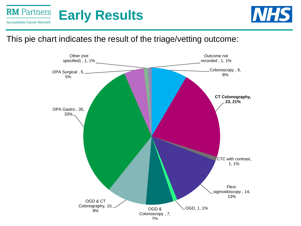



#### This pie chart indicates the result of the triage/vetting outcome:

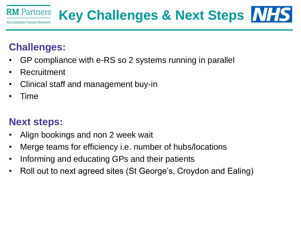

## **Key Challenges & Next Steps**

## **Challenges:**

- GP compliance with e-RS so 2 systems running in parallel
- Recruitment
- Clinical staff and management buy-in
- Time

### **Next steps:**

- Align bookings and non 2 week wait
- Merge teams for efficiency i.e. number of hubs/locations
- Informing and educating GPs and their patients
- Roll out to next agreed sites (St George's, Croydon and Ealing)